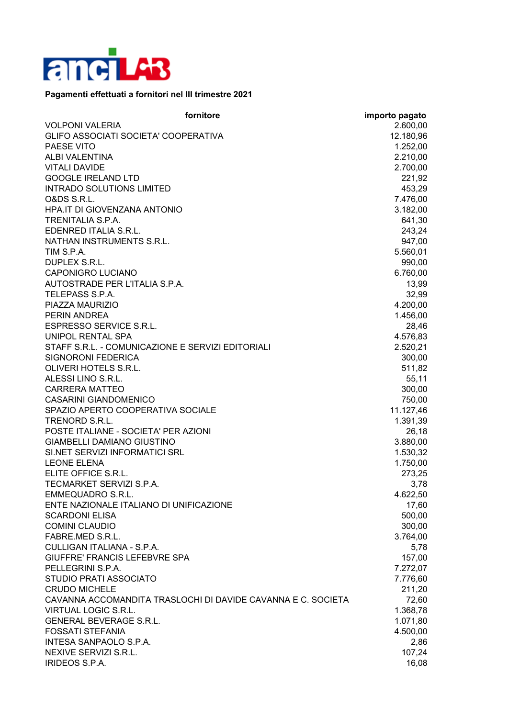

## **Pagamenti effettuati a fornitori nel III trimestre 2021**

| fornitore                                                    | importo pagato |
|--------------------------------------------------------------|----------------|
| <b>VOLPONI VALERIA</b>                                       | 2.600,00       |
| GLIFO ASSOCIATI SOCIETA' COOPERATIVA                         | 12.180,96      |
| PAESE VITO                                                   | 1.252,00       |
| <b>ALBI VALENTINA</b>                                        | 2.210,00       |
| <b>VITALI DAVIDE</b>                                         | 2.700,00       |
| <b>GOOGLE IRELAND LTD</b>                                    | 221,92         |
| <b>INTRADO SOLUTIONS LIMITED</b>                             | 453,29         |
| O&DS S.R.L.                                                  | 7.476,00       |
| HPA.IT DI GIOVENZANA ANTONIO                                 | 3.182,00       |
| <b>TRENITALIA S.P.A.</b>                                     | 641,30         |
| EDENRED ITALIA S.R.L.                                        | 243,24         |
| NATHAN INSTRUMENTS S.R.L.                                    | 947,00         |
| TIM S.P.A.                                                   | 5.560,01       |
| DUPLEX S.R.L.                                                | 990,00         |
| <b>CAPONIGRO LUCIANO</b>                                     | 6.760,00       |
| AUTOSTRADE PER L'ITALIA S.P.A.                               | 13,99          |
| TELEPASS S.P.A.                                              | 32,99          |
| PIAZZA MAURIZIO                                              | 4.200,00       |
| <b>PERIN ANDREA</b>                                          | 1.456,00       |
| <b>ESPRESSO SERVICE S.R.L.</b>                               | 28,46          |
| <b>UNIPOL RENTAL SPA</b>                                     | 4.576,83       |
| STAFF S.R.L. - COMUNICAZIONE E SERVIZI EDITORIALI            | 2.520,21       |
| SIGNORONI FEDERICA                                           | 300,00         |
| OLIVERI HOTELS S.R.L.                                        | 511,82         |
| ALESSI LINO S.R.L.                                           | 55,11          |
| <b>CARRERA MATTEO</b>                                        | 300,00         |
| <b>CASARINI GIANDOMENICO</b>                                 | 750,00         |
| SPAZIO APERTO COOPERATIVA SOCIALE                            | 11.127,46      |
| TRENORD S.R.L.                                               | 1.391,39       |
| POSTE ITALIANE - SOCIETA' PER AZIONI                         | 26,18          |
| <b>GIAMBELLI DAMIANO GIUSTINO</b>                            | 3.880,00       |
| SI.NET SERVIZI INFORMATICI SRL                               | 1.530,32       |
| <b>LEONE ELENA</b>                                           | 1.750,00       |
| ELITE OFFICE S.R.L.                                          | 273,25         |
| TECMARKET SERVIZI S.P.A.                                     | 3,78           |
| <b>EMMEQUADRO S.R.L.</b>                                     | 4.622,50       |
| ENTE NAZIONALE ITALIANO DI UNIFICAZIONE                      | 17,60          |
| <b>SCARDONI ELISA</b>                                        | 500,00         |
| <b>COMINI CLAUDIO</b>                                        | 300,00         |
| FABRE.MED S.R.L.                                             | 3.764,00       |
| CULLIGAN ITALIANA - S.P.A.                                   | 5,78           |
| GIUFFRE' FRANCIS LEFEBVRE SPA                                | 157,00         |
| PELLEGRINI S.P.A.                                            | 7.272,07       |
| STUDIO PRATI ASSOCIATO                                       | 7.776,60       |
| <b>CRUDO MICHELE</b>                                         | 211,20         |
| CAVANNA ACCOMANDITA TRASLOCHI DI DAVIDE CAVANNA E C. SOCIETA | 72,60          |
| <b>VIRTUAL LOGIC S.R.L.</b>                                  | 1.368,78       |
| <b>GENERAL BEVERAGE S.R.L.</b>                               | 1.071,80       |
| <b>FOSSATI STEFANIA</b>                                      | 4.500,00       |
| INTESA SANPAOLO S.P.A.                                       | 2,86           |
| NEXIVE SERVIZI S.R.L.                                        | 107,24         |
| IRIDEOS S.P.A.                                               | 16,08          |